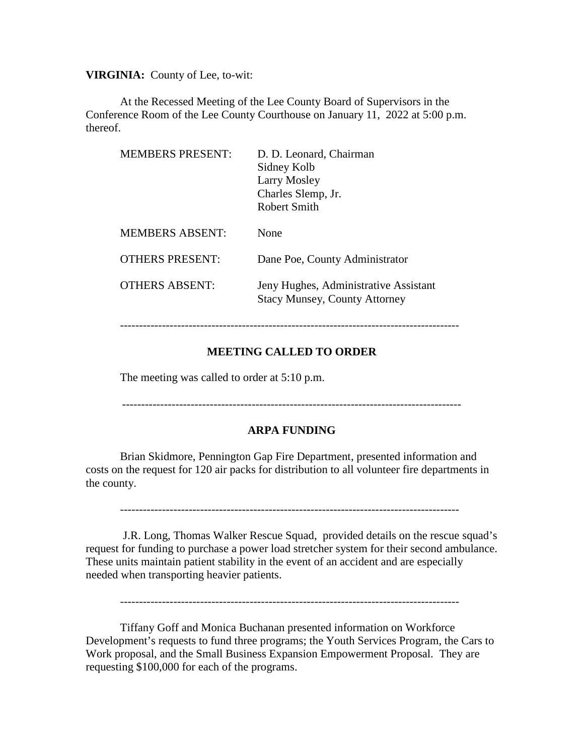**VIRGINIA:** County of Lee, to-wit:

At the Recessed Meeting of the Lee County Board of Supervisors in the Conference Room of the Lee County Courthouse on January 11, 2022 at 5:00 p.m. thereof.

| <b>MEMBERS PRESENT:</b> | D. D. Leonard, Chairman<br>Sidney Kolb<br>Larry Mosley<br>Charles Slemp, Jr.<br>Robert Smith |
|-------------------------|----------------------------------------------------------------------------------------------|
| <b>MEMBERS ABSENT:</b>  | None                                                                                         |
| OTHERS PRESENT:         | Dane Poe, County Administrator                                                               |
| <b>OTHERS ABSENT:</b>   | Jeny Hughes, Administrative Assistant<br><b>Stacy Munsey, County Attorney</b>                |

```
-----------------------------------------------------------------------------------------
```
# **MEETING CALLED TO ORDER**

The meeting was called to order at 5:10 p.m.

## **ARPA FUNDING**

Brian Skidmore, Pennington Gap Fire Department, presented information and costs on the request for 120 air packs for distribution to all volunteer fire departments in the county.

-----------------------------------------------------------------------------------------

J.R. Long, Thomas Walker Rescue Squad, provided details on the rescue squad's request for funding to purchase a power load stretcher system for their second ambulance. These units maintain patient stability in the event of an accident and are especially needed when transporting heavier patients.

-----------------------------------------------------------------------------------------

Tiffany Goff and Monica Buchanan presented information on Workforce Development's requests to fund three programs; the Youth Services Program, the Cars to Work proposal, and the Small Business Expansion Empowerment Proposal. They are requesting \$100,000 for each of the programs.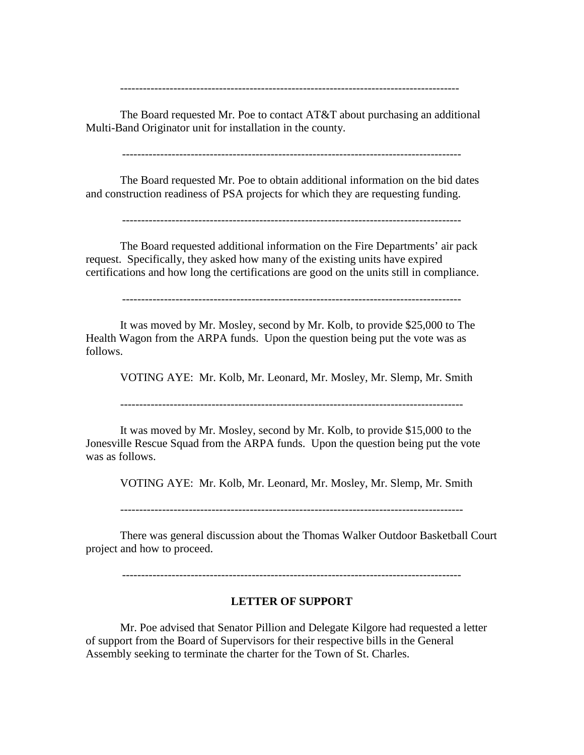The Board requested Mr. Poe to contact AT&T about purchasing an additional Multi-Band Originator unit for installation in the county.

-----------------------------------------------------------------------------------------

-----------------------------------------------------------------------------------------

The Board requested Mr. Poe to obtain additional information on the bid dates and construction readiness of PSA projects for which they are requesting funding.

-----------------------------------------------------------------------------------------

The Board requested additional information on the Fire Departments' air pack request. Specifically, they asked how many of the existing units have expired certifications and how long the certifications are good on the units still in compliance.

-----------------------------------------------------------------------------------------

It was moved by Mr. Mosley, second by Mr. Kolb, to provide \$25,000 to The Health Wagon from the ARPA funds. Upon the question being put the vote was as follows.

VOTING AYE: Mr. Kolb, Mr. Leonard, Mr. Mosley, Mr. Slemp, Mr. Smith

------------------------------------------------------------------------------------------

It was moved by Mr. Mosley, second by Mr. Kolb, to provide \$15,000 to the Jonesville Rescue Squad from the ARPA funds. Upon the question being put the vote was as follows.

VOTING AYE: Mr. Kolb, Mr. Leonard, Mr. Mosley, Mr. Slemp, Mr. Smith

------------------------------------------------------------------------------------------

There was general discussion about the Thomas Walker Outdoor Basketball Court project and how to proceed.

-----------------------------------------------------------------------------------------

#### **LETTER OF SUPPORT**

Mr. Poe advised that Senator Pillion and Delegate Kilgore had requested a letter of support from the Board of Supervisors for their respective bills in the General Assembly seeking to terminate the charter for the Town of St. Charles.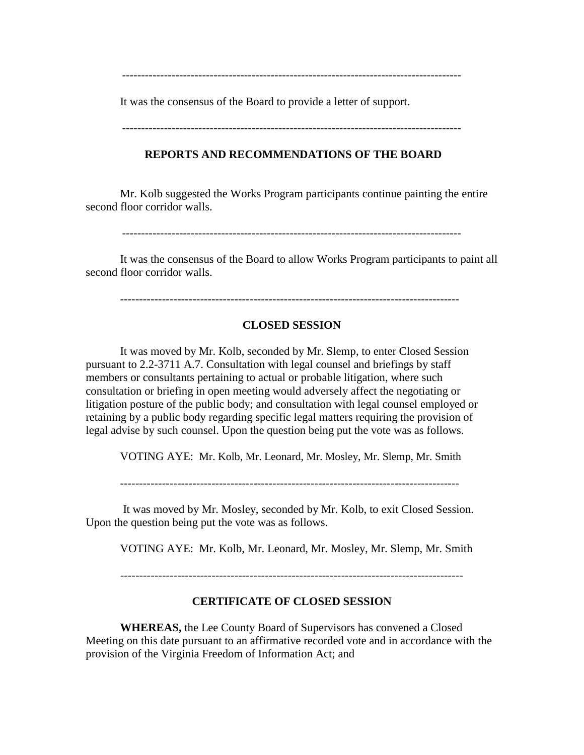-----------------------------------------------------------------------------------------

It was the consensus of the Board to provide a letter of support.

-----------------------------------------------------------------------------------------

#### **REPORTS AND RECOMMENDATIONS OF THE BOARD**

Mr. Kolb suggested the Works Program participants continue painting the entire second floor corridor walls.

It was the consensus of the Board to allow Works Program participants to paint all second floor corridor walls.

#### -----------------------------------------------------------------------------------------

## **CLOSED SESSION**

It was moved by Mr. Kolb, seconded by Mr. Slemp, to enter Closed Session pursuant to 2.2-3711 A.7. Consultation with legal counsel and briefings by staff members or consultants pertaining to actual or probable litigation, where such consultation or briefing in open meeting would adversely affect the negotiating or litigation posture of the public body; and consultation with legal counsel employed or retaining by a public body regarding specific legal matters requiring the provision of legal advise by such counsel. Upon the question being put the vote was as follows.

VOTING AYE: Mr. Kolb, Mr. Leonard, Mr. Mosley, Mr. Slemp, Mr. Smith

It was moved by Mr. Mosley, seconded by Mr. Kolb, to exit Closed Session. Upon the question being put the vote was as follows.

VOTING AYE: Mr. Kolb, Mr. Leonard, Mr. Mosley, Mr. Slemp, Mr. Smith

#### **CERTIFICATE OF CLOSED SESSION**

**WHEREAS,** the Lee County Board of Supervisors has convened a Closed Meeting on this date pursuant to an affirmative recorded vote and in accordance with the provision of the Virginia Freedom of Information Act; and